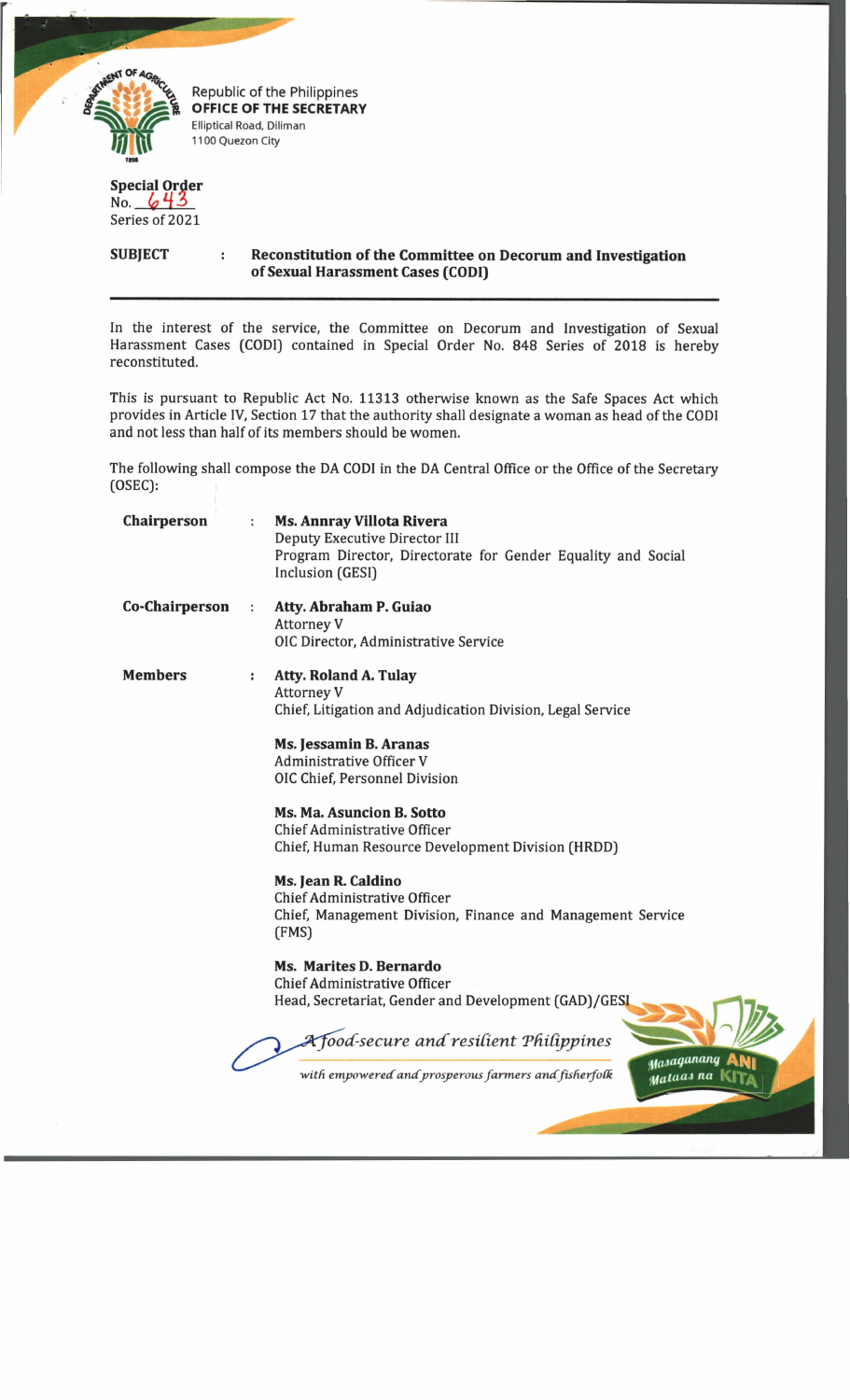

Republic of the Philippines **OFFICE OF THE SECRETARY** Elliptical Road, Diliman 1100 Quezon City

## **Special Order** No. *C)* 4 3

Series of 2021

**SUBJECT : Reconstitution of the Committee on Decorum and Investigation of Sexual Harassment Cases (CODI)**

In the interest of the service, the Committee on Decorum and Investigation of Sexual Harassment Cases (CODI) contained in Special Order No. 848 Series of 2018 is hereby reconstituted.

This is pursuant to Republic Act No. 11313 otherwise known as the Safe Spaces Act which provides in Article IV, Section 17 that the authority shall designate a woman as head of the CODI and not less than half of its members should be women.

The following shall compose the DA CODI in the DA Central Office or the Office of the Secretary (OSEC):

| <b>Chairperson</b>    | $\ddot{\phantom{a}}$ | <b>Ms. Annray Villota Rivera</b><br>Deputy Executive Director III<br>Program Director, Directorate for Gender Equality and Social<br>Inclusion (GESI) |
|-----------------------|----------------------|-------------------------------------------------------------------------------------------------------------------------------------------------------|
| <b>Co-Chairperson</b> | ÷                    | Atty. Abraham P. Guiao<br><b>Attorney V</b><br>OIC Director, Administrative Service                                                                   |
| <b>Members</b>        | ÷                    | <b>Atty. Roland A. Tulay</b><br><b>Attorney V</b><br>Chief, Litigation and Adjudication Division, Legal Service                                       |
|                       |                      | Ms. Jessamin B. Aranas<br><b>Administrative Officer V</b><br>OIC Chief, Personnel Division                                                            |
|                       |                      | Ms. Ma. Asuncion B. Sotto<br>Chief Administrative Officer<br>Chief, Human Resource Development Division (HRDD)                                        |
|                       |                      | Ms. Jean R. Caldino<br><b>Chief Administrative Officer</b><br>Chief, Management Division, Finance and Management Service<br>(FMS)                     |
|                       |                      | <b>Ms. Marites D. Bernardo</b><br><b>Chief Administrative Officer</b><br>Head, Secretariat, Gender and Development (GAD)/GES                          |
|                       |                      | A food-secure and resilient Philippines<br>Masaganang<br>with empowered and prosperous farmers and fisherfolk<br>Mataas na                            |